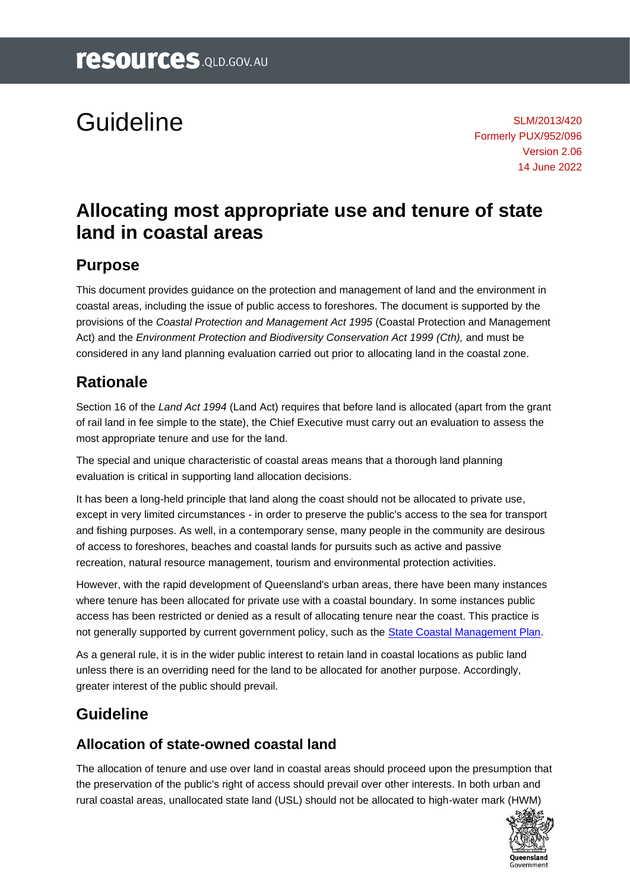# Guideline

SLM/2013/420 Formerly PUX/952/096 Version 2.06 14 June 2022

## **Allocating most appropriate use and tenure of state land in coastal areas**

#### **Purpose**

This document provides guidance on the protection and management of land and the environment in coastal areas, including the issue of public access to foreshores. The document is supported by the provisions of the *Coastal Protection and Management Act 1995* (Coastal Protection and Management Act) and the *Environment Protection and Biodiversity Conservation Act 1999 (Cth),* and must be considered in any land planning evaluation carried out prior to allocating land in the coastal zone.

#### **Rationale**

Section 16 of the *Land Act 1994* (Land Act) requires that before land is allocated (apart from the grant of rail land in fee simple to the state), the Chief Executive must carry out an evaluation to assess the most appropriate tenure and use for the land.

The special and unique characteristic of coastal areas means that a thorough land planning evaluation is critical in supporting land allocation decisions.

It has been a long-held principle that land along the coast should not be allocated to private use, except in very limited circumstances - in order to preserve the public's access to the sea for transport and fishing purposes. As well, in a contemporary sense, many people in the community are desirous of access to foreshores, beaches and coastal lands for pursuits such as active and passive recreation, natural resource management, tourism and environmental protection activities.

However, with the rapid development of Queensland's urban areas, there have been many instances where tenure has been allocated for private use with a coastal boundary. In some instances public access has been restricted or denied as a result of allocating tenure near the coast. This practice is not generally supported by current government policy, such as the [State Coastal Management Plan.](https://www.qld.gov.au/environment/coasts-waterways/plans/coastal-management/management-plan)

As a general rule, it is in the wider public interest to retain land in coastal locations as public land unless there is an overriding need for the land to be allocated for another purpose. Accordingly, greater interest of the public should prevail.

#### **Guideline**

#### **Allocation of state-owned coastal land**

The allocation of tenure and use over land in coastal areas should proceed upon the presumption that the preservation of the public's right of access should prevail over other interests. In both urban and rural coastal areas, unallocated state land (USL) should not be allocated to high-water mark (HWM)

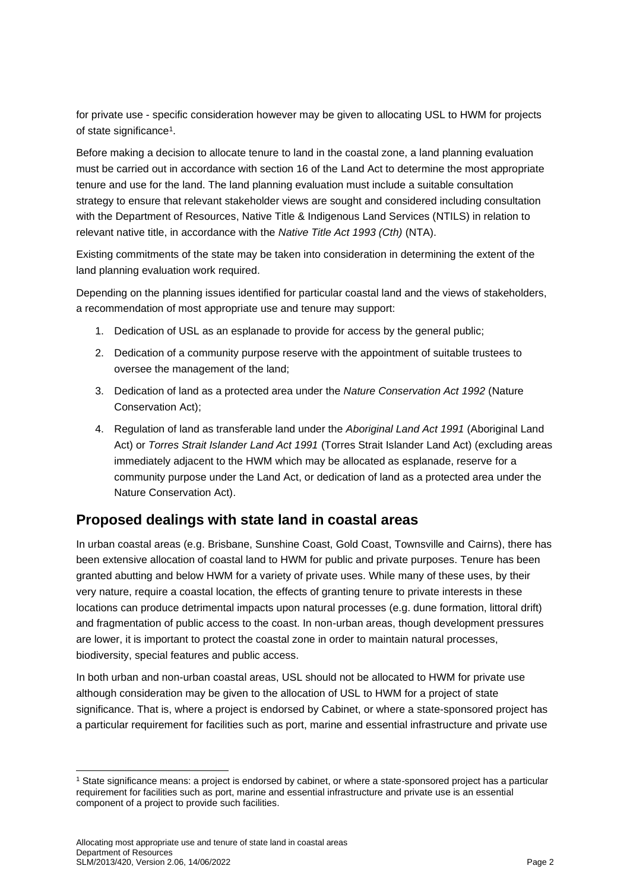for private use - specific consideration however may be given to allocating USL to HWM for projects of state significance<sup>1</sup>.

Before making a decision to allocate tenure to land in the coastal zone, a land planning evaluation must be carried out in accordance with section 16 of the Land Act to determine the most appropriate tenure and use for the land. The land planning evaluation must include a suitable consultation strategy to ensure that relevant stakeholder views are sought and considered including consultation with the Department of Resources, Native Title & Indigenous Land Services (NTILS) in relation to relevant native title, in accordance with the *Native Title Act 1993 (Cth)* (NTA).

Existing commitments of the state may be taken into consideration in determining the extent of the land planning evaluation work required.

Depending on the planning issues identified for particular coastal land and the views of stakeholders, a recommendation of most appropriate use and tenure may support:

- 1. Dedication of USL as an esplanade to provide for access by the general public;
- 2. Dedication of a community purpose reserve with the appointment of suitable trustees to oversee the management of the land;
- 3. Dedication of land as a protected area under the *Nature Conservation Act 1992* (Nature Conservation Act);
- 4. Regulation of land as transferable land under the *Aboriginal Land Act 1991* (Aboriginal Land Act) or *Torres Strait Islander Land Act 1991* (Torres Strait Islander Land Act) (excluding areas immediately adjacent to the HWM which may be allocated as esplanade, reserve for a community purpose under the Land Act, or dedication of land as a protected area under the Nature Conservation Act).

#### **Proposed dealings with state land in coastal areas**

In urban coastal areas (e.g. Brisbane, Sunshine Coast, Gold Coast, Townsville and Cairns), there has been extensive allocation of coastal land to HWM for public and private purposes. Tenure has been granted abutting and below HWM for a variety of private uses. While many of these uses, by their very nature, require a coastal location, the effects of granting tenure to private interests in these locations can produce detrimental impacts upon natural processes (e.g. dune formation, littoral drift) and fragmentation of public access to the coast. In non-urban areas, though development pressures are lower, it is important to protect the coastal zone in order to maintain natural processes, biodiversity, special features and public access.

In both urban and non-urban coastal areas, USL should not be allocated to HWM for private use although consideration may be given to the allocation of USL to HWM for a project of state significance. That is, where a project is endorsed by Cabinet, or where a state-sponsored project has a particular requirement for facilities such as port, marine and essential infrastructure and private use

<sup>1</sup> State significance means: a project is endorsed by cabinet, or where a state-sponsored project has a particular requirement for facilities such as port, marine and essential infrastructure and private use is an essential component of a project to provide such facilities.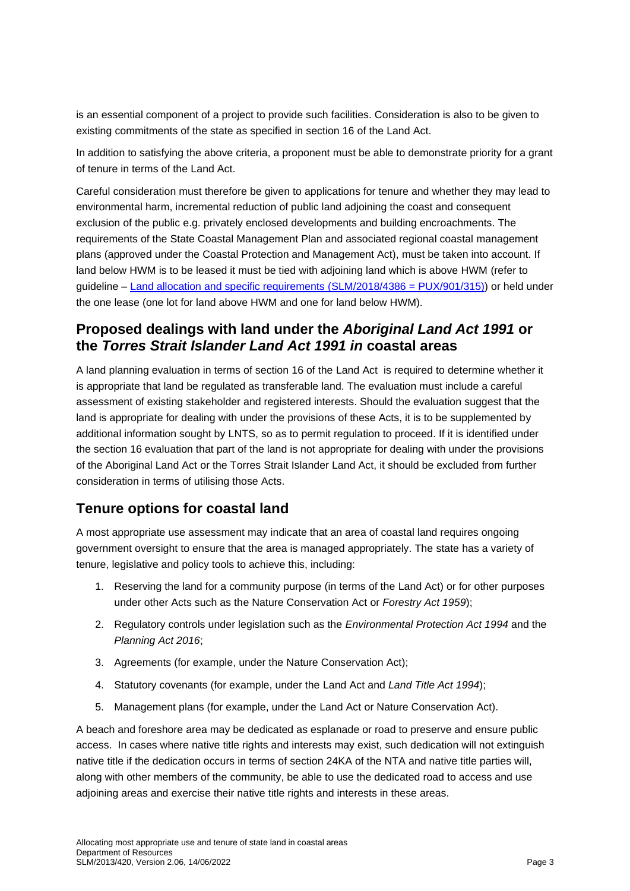is an essential component of a project to provide such facilities. Consideration is also to be given to existing commitments of the state as specified in section 16 of the Land Act.

In addition to satisfying the above criteria, a proponent must be able to demonstrate priority for a grant of tenure in terms of the Land Act.

Careful consideration must therefore be given to applications for tenure and whether they may lead to environmental harm, incremental reduction of public land adjoining the coast and consequent exclusion of the public e.g. privately enclosed developments and building encroachments. The requirements of the State Coastal Management Plan and associated regional coastal management plans (approved under the Coastal Protection and Management Act), must be taken into account. If land below HWM is to be leased it must be tied with adjoining land which is above HWM (refer to guideline – [Land allocation and specific requirements \(SLM/2018/4386](https://www.resources.qld.gov.au/?a=109113:policy_registry/land-allocation-specific-requirements.pdf&ver=1.02) = PUX/901/315)) or held under the one lease (one lot for land above HWM and one for land below HWM).

#### **Proposed dealings with land under the** *Aboriginal Land Act 1991* **or the** *Torres Strait Islander Land Act 1991 in* **coastal areas**

A land planning evaluation in terms of section 16 of the Land Act is required to determine whether it is appropriate that land be regulated as transferable land. The evaluation must include a careful assessment of existing stakeholder and registered interests. Should the evaluation suggest that the land is appropriate for dealing with under the provisions of these Acts, it is to be supplemented by additional information sought by LNTS, so as to permit regulation to proceed. If it is identified under the section 16 evaluation that part of the land is not appropriate for dealing with under the provisions of the Aboriginal Land Act or the Torres Strait Islander Land Act, it should be excluded from further consideration in terms of utilising those Acts.

#### **Tenure options for coastal land**

A most appropriate use assessment may indicate that an area of coastal land requires ongoing government oversight to ensure that the area is managed appropriately. The state has a variety of tenure, legislative and policy tools to achieve this, including:

- 1. Reserving the land for a community purpose (in terms of the Land Act) or for other purposes under other Acts such as the Nature Conservation Act or *Forestry Act 1959*);
- 2. Regulatory controls under legislation such as the *Environmental Protection Act 1994* and the *Planning Act 2016*;
- 3. Agreements (for example, under the Nature Conservation Act);
- 4. Statutory covenants (for example, under the Land Act and *Land Title Act 1994*);
- 5. Management plans (for example, under the Land Act or Nature Conservation Act).

A beach and foreshore area may be dedicated as esplanade or road to preserve and ensure public access. In cases where native title rights and interests may exist, such dedication will not extinguish native title if the dedication occurs in terms of section 24KA of the NTA and native title parties will, along with other members of the community, be able to use the dedicated road to access and use adjoining areas and exercise their native title rights and interests in these areas.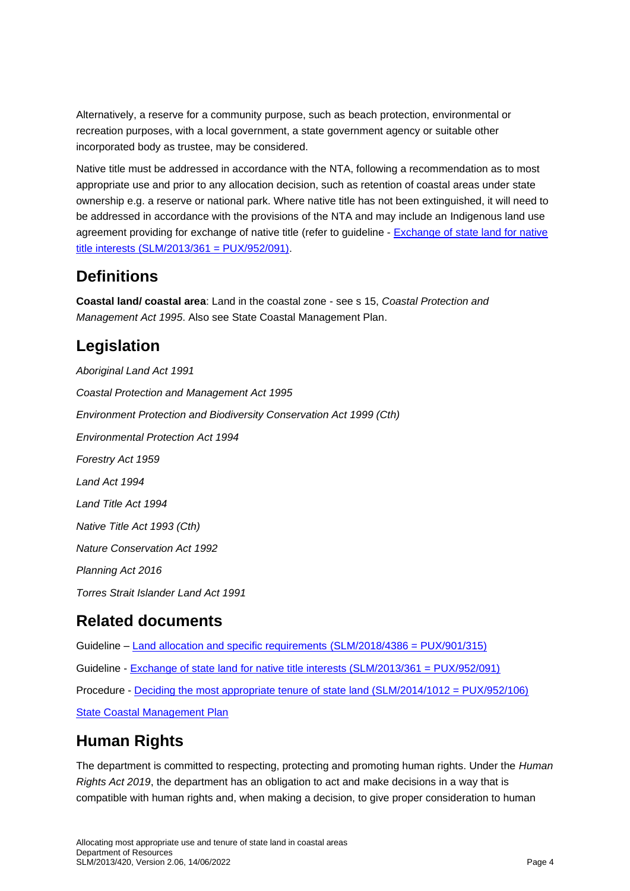Alternatively, a reserve for a community purpose, such as beach protection, environmental or recreation purposes, with a local government, a state government agency or suitable other incorporated body as trustee, may be considered.

Native title must be addressed in accordance with the NTA, following a recommendation as to most appropriate use and prior to any allocation decision, such as retention of coastal areas under state ownership e.g. a reserve or national park. Where native title has not been extinguished, it will need to be addressed in accordance with the provisions of the NTA and may include an Indigenous land use agreement providing for exchange of native title (refer to guideline - Exchange of state land for native title interests [\(SLM/2013/361 = PUX/952/091\).](https://www.resources.qld.gov.au/?a=109113:policy_registry/exchange-state-land-for-native-title-interests.pdf&ver=6.02)

#### **Definitions**

**Coastal land/ coastal area**: Land in the coastal zone - see s 15, *Coastal Protection and Management Act 1995*. Also see State Coastal Management Plan.

### **Legislation**

*Aboriginal Land Act 1991 Coastal Protection and Management Act 1995 Environment Protection and Biodiversity Conservation Act 1999 (Cth) Environmental Protection Act 1994 Forestry Act 1959 Land Act 1994 Land Title Act 1994 Native Title Act 1993 (Cth) Nature Conservation Act 1992 Planning Act 2016 Torres Strait Islander Land Act 1991*

### **Related documents**

Guideline – [Land allocation and specific requirements](https://www.resources.qld.gov.au/?a=109113:policy_registry/land-allocation-specific-requirements.pdf&ver=1.02) (SLM/2018/4386 = PUX/901/315) Guideline - [Exchange of state land for native title interests \(SLM/2013/361 = PUX/952/091\)](https://www.resources.qld.gov.au/?a=109113:policy_registry/exchange-state-land-for-native-title-interests.pdf&ver=6.02) Procedure - [Deciding the most appropriate tenure of state land](https://www.resources.qld.gov.au/?a=109113:policy_registry/guideline-most-appropriate-tenure.pdf&ver=1.05) (SLM/2014/1012 = PUX/952/106) [State Coastal Management Plan](https://www.qld.gov.au/environment/coasts-waterways/plans/coastal-management/management-plan)

### **Human Rights**

The department is committed to respecting, protecting and promoting human rights. Under the *Human Rights Act 2019*, the department has an obligation to act and make decisions in a way that is compatible with human rights and, when making a decision, to give proper consideration to human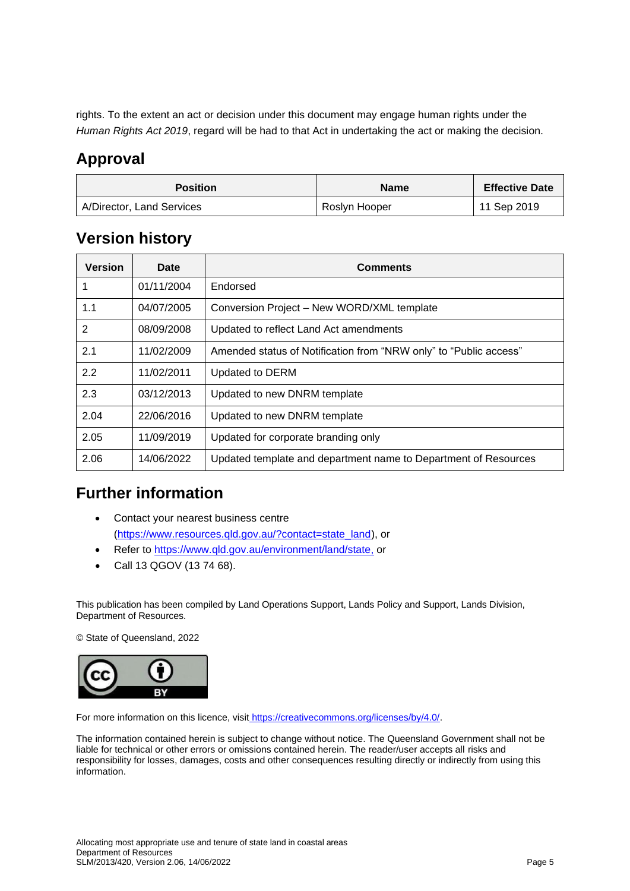rights. To the extent an act or decision under this document may engage human rights under the *Human Rights Act 2019*, regard will be had to that Act in undertaking the act or making the decision.

### **Approval**

| <b>Position</b>           | <b>Name</b>   | <b>Effective Date</b> |
|---------------------------|---------------|-----------------------|
| A/Director, Land Services | Roslyn Hooper | 11 Sep 2019           |

### **Version history**

| <b>Version</b> | Date       | <b>Comments</b>                                                   |
|----------------|------------|-------------------------------------------------------------------|
| 1              | 01/11/2004 | Endorsed                                                          |
| 1.1            | 04/07/2005 | Conversion Project - New WORD/XML template                        |
| 2              | 08/09/2008 | Updated to reflect Land Act amendments                            |
| 2.1            | 11/02/2009 | Amended status of Notification from "NRW only" to "Public access" |
| 2.2            | 11/02/2011 | Updated to DERM                                                   |
| 2.3            | 03/12/2013 | Updated to new DNRM template                                      |
| 2.04           | 22/06/2016 | Updated to new DNRM template                                      |
| 2.05           | 11/09/2019 | Updated for corporate branding only                               |
| 2.06           | 14/06/2022 | Updated template and department name to Department of Resources   |

### **Further information**

- Contact your nearest business centre [\(https://www.resources.qld.gov.au/?contact=state\\_land\)](https://www.resources.qld.gov.au/?contact=state_land), or
- Refer to [https://www.qld.gov.au/environment/land/state,](https://www.qld.gov.au/environment/land/state) or
- Call 13 QGOV (13 74 68).

This publication has been compiled by Land Operations Support, Lands Policy and Support, Lands Division, Department of Resources.

© State of Queensland, 2022



For more information on this licence, visit https://creativecommons.org/licenses/by/4.0/.

The information contained herein is subject to change without notice. The Queensland Government shall not be liable for technical or other errors or omissions contained herein. The reader/user accepts all risks and responsibility for losses, damages, costs and other consequences resulting directly or indirectly from using this information.